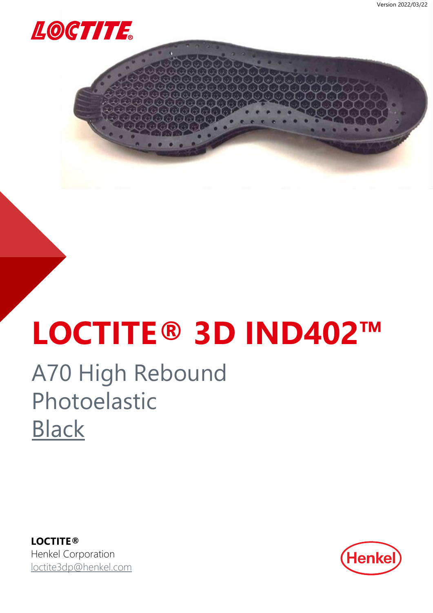<span id="page-0-0"></span>

## **LOCTITE® 3D IND402™**

### A70 High Rebound Photoelastic **[Black](#page-2-0)**

**LOCTITE®** Henkel Corporation [loctite3dp@henkel.com](mailto:loctite3dp@henkel.com)

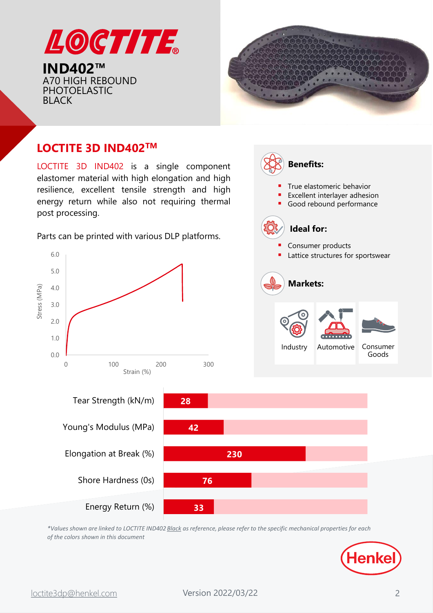



True elastomeric behavior Excellent interlayer adhesion Good rebound performance

**Benefits:** 

**Ideal for:**

#### **LOCTITE 3D IND402TM**

LOCTITE 3D IND402 is a single component elastomer material with high elongation and high resilience, excellent tensile strength and high energy return while also not requiring thermal post processing.

Parts can be printed with various DLP platforms.

Energy Return (%)



*\*Values shown are linked to LOCTITE IND402 Black as reference, please refer to the specific mechanical properties for each of the colors shown in this document*

**33**



Goods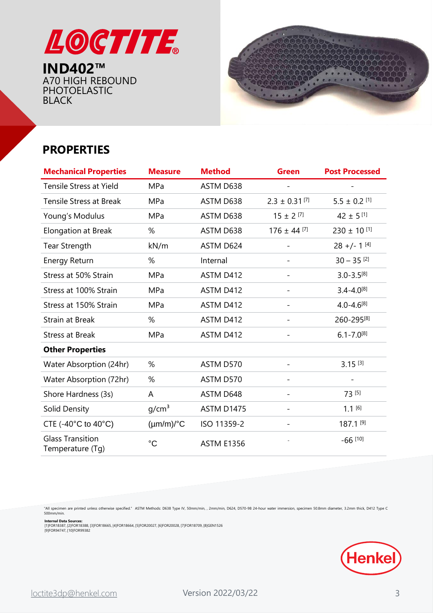<span id="page-2-0"></span>



#### **PROPERTIES**

| <b>Mechanical Properties</b>                | <b>Measure</b>        | <b>Method</b>     | <b>Green</b>                  | <b>Post Processed</b>        |
|---------------------------------------------|-----------------------|-------------------|-------------------------------|------------------------------|
| <b>Tensile Stress at Yield</b>              | <b>MPa</b>            | ASTM D638         |                               |                              |
| <b>Tensile Stress at Break</b>              | <b>MPa</b>            | ASTM D638         | $2.3 \pm 0.31$ <sup>[7]</sup> | $5.5\pm0.2\stackrel{[1]}{.}$ |
| Young's Modulus                             | <b>MPa</b>            | ASTM D638         | $15 \pm 2$ [7]                | $42 \pm 5$ [1]               |
| <b>Elongation at Break</b>                  | %                     | ASTM D638         | $176 \pm 44$ [7]              | $230 \pm 10^{[1]}$           |
| <b>Tear Strength</b>                        | kN/m                  | ASTM D624         |                               | $28 +/- 1^{[4]}$             |
| <b>Energy Return</b>                        | %                     | Internal          | $\overline{\phantom{a}}$      | $30 - 35$ <sup>[2]</sup>     |
| Stress at 50% Strain                        | <b>MPa</b>            | ASTM D412         | $\overline{\phantom{a}}$      | $3.0 - 3.5^{[8]}$            |
| Stress at 100% Strain                       | MPa                   | ASTM D412         | $\overline{\phantom{a}}$      | $3.4 - 4.0^{[8]}$            |
| Stress at 150% Strain                       | MPa                   | ASTM D412         | $\overline{\phantom{0}}$      | $4.0 - 4.6^{[8]}$            |
| <b>Strain at Break</b>                      | %                     | ASTM D412         | $\overline{\phantom{0}}$      | 260-295[8]                   |
| <b>Stress at Break</b>                      | MPa                   | ASTM D412         |                               | $6.1 - 7.0^{[8]}$            |
| <b>Other Properties</b>                     |                       |                   |                               |                              |
| Water Absorption (24hr)                     | %                     | ASTM D570         |                               | $3.15^{[3]}$                 |
| Water Absorption (72hr)                     | %                     | ASTM D570         | $\overline{\phantom{a}}$      |                              |
| Shore Hardness (3s)                         | A                     | ASTM D648         | $\overline{\phantom{a}}$      | 73 [5]                       |
| Solid Density                               | g/cm <sup>3</sup>     | <b>ASTM D1475</b> |                               | $1.1^{[6]}$                  |
| CTE (-40 $^{\circ}$ C to 40 $^{\circ}$ C)   | $(\mu m/m)/^{\circ}C$ | ISO 11359-2       |                               | 187.1 [9]                    |
| <b>Glass Transition</b><br>Temperature (Tg) | $^{\circ}C$           | <b>ASTM E1356</b> |                               | $-66$ [10]                   |

"All specimen are printed unless otherwise specified." ASTM Methods: D638 Type IV, 50mm/min, , 2mm/min, D624, D570-98 24-hour water immersion, specimen 50.8mm diameter, 3.2mm thick, D412 Type C<br>500mm/min.

**Internal Data Sources:**<br>[1]FOR18387, [2]FOR18388, [3]FOR18665, [4]FOR18664, [5]FOR20027, [6]FOR20028, [7]FOR18709, [8]GEN1526<br>[9]FOR94747, [10]FOR99382

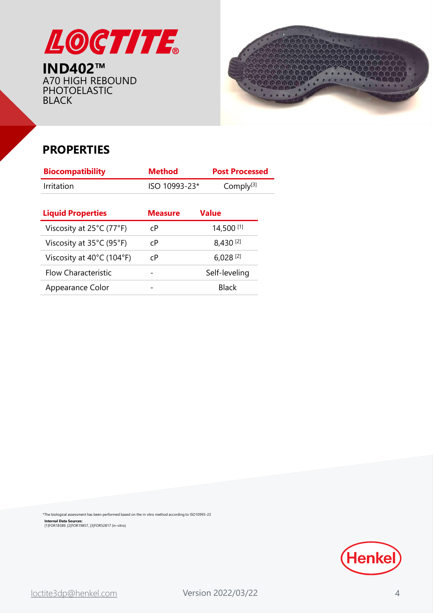



#### **PROPERTIES**

| <b>Biocompatibility</b>                       | <b>Method</b>  | <b>Post Processed</b>  |
|-----------------------------------------------|----------------|------------------------|
| Irritation                                    | ISO 10993-23*  | Comply <sup>[3]</sup>  |
|                                               |                |                        |
| <b>Liquid Properties</b>                      | <b>Measure</b> | <b>Value</b>           |
| Viscosity at 25°C (77°F)                      | C <sup>P</sup> | 14,500 [1]             |
| Viscosity at $35^{\circ}$ C (95 $^{\circ}$ F) | C <sub>P</sub> | 8,430 [2]              |
| Viscosity at 40°C (104°F)                     | C <sub>P</sub> | $6,028$ <sup>[2]</sup> |
| Flow Characteristic                           |                | Self-leveling          |
| Appearance Color                              |                | <b>Black</b>           |

**Internal Data Sources:** [1]FOR18389, [2]FOR19857, [3]FOR52817 (in-vitro) \*The biological assessment has been performed based on the in vitro method according to ISO10993-23

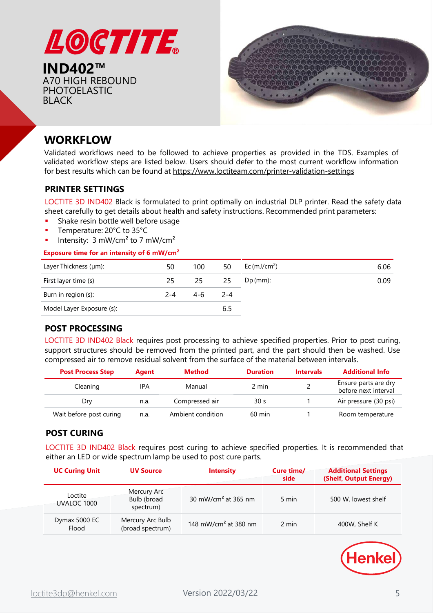



#### **WORKFLOW**

Validated workflows need to be followed to achieve properties as provided in the TDS. Examples of validated workflow steps are listed below. Users should defer to the most current workflow information for best results which can be found at <https://www.loctiteam.com/printer-validation-settings>

#### **PRINTER SETTINGS**

LOCTITE 3D IND402 Black is formulated to print optimally on industrial DLP printer. Read the safety data sheet carefully to get details about health and safety instructions. Recommended print parameters:

- Shake resin bottle well before usage
- Temperature: 20°C to 35°C
- Intensity:  $3 \text{ mW/cm}^2$  to 7 mW/cm<sup>2</sup>

#### **Exposure time for an intensity of 6 mW/cm²**

| Layer Thickness (µm):     | 50      | 100 | 50    | Ec $(mJ/cm2)$ | 6.06 |
|---------------------------|---------|-----|-------|---------------|------|
| First layer time (s)      | 25      | 25  | -25   | $Dp$ (mm):    | 0.09 |
| Burn in region (s):       | $2 - 4$ | 4-6 | - 2-4 |               |      |
| Model Layer Exposure (s): |         |     | 6.5   |               |      |

#### **POST PROCESSING**

LOCTITE 3D IND402 Black requires post processing to achieve specified properties. Prior to post curing, support structures should be removed from the printed part, and the part should then be washed. Use compressed air to remove residual solvent from the surface of the material between intervals.

| <b>Post Process Step</b> | Agent | <b>Method</b>     | <b>Duration</b>  | <b>Intervals</b> | <b>Additional Info</b>                       |
|--------------------------|-------|-------------------|------------------|------------------|----------------------------------------------|
| Cleaning                 | IPA   | Manual            | 2 min            |                  | Ensure parts are dry<br>before next interval |
| Dry                      | n.a.  | Compressed air    | 30 <sub>s</sub>  |                  | Air pressure (30 psi)                        |
| Wait before post curing  | n.a.  | Ambient condition | $60 \text{ min}$ |                  | Room temperature                             |

#### **POST CURING**

LOCTITE 3D IND402 Black requires post curing to achieve specified properties. It is recommended that either an LED or wide spectrum lamp be used to post cure parts.

| <b>UC Curing Unit</b>  | <b>UV Source</b>                        | <b>Intensity</b>                 | Cure time/<br>side | <b>Additional Settings</b><br>(Shelf, Output Energy) |
|------------------------|-----------------------------------------|----------------------------------|--------------------|------------------------------------------------------|
| Loctite<br>UVALOC 1000 | Mercury Arc<br>Bulb (broad<br>spectrum) | 30 mW/cm <sup>2</sup> at 365 nm  | 5 min              | 500 W, lowest shelf                                  |
| Dymax 5000 EC<br>Flood | Mercury Arc Bulb<br>(broad spectrum)    | 148 mW/cm <sup>2</sup> at 380 nm | 2 min              | 400W, Shelf K                                        |

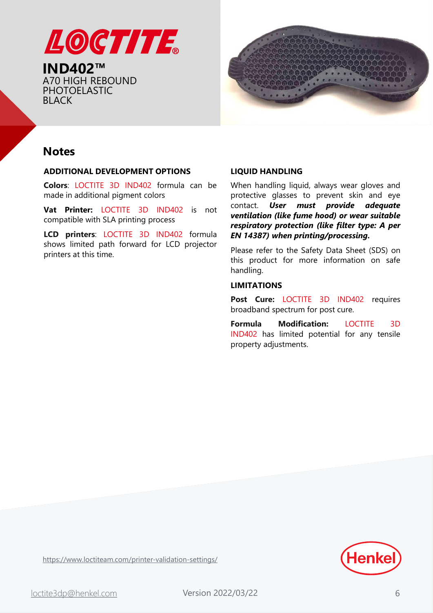



#### **Notes**

#### **ADDITIONAL DEVELOPMENT OPTIONS**

**Colors**: LOCTITE 3D IND402 formula can be made in additional pigment colors

**Vat Printer:** LOCTITE 3D IND402 is not compatible with SLA printing process

**LCD printers**: LOCTITE 3D IND402 formula shows limited path forward for LCD projector printers at this time.

#### **LIQUID HANDLING**

When handling liquid, always wear gloves and protective glasses to prevent skin and eye contact. *User must provide adequate ventilation (like fume hood) or wear suitable respiratory protection (like filter type: A per EN 14387) when printing/processing.*

Please refer to the Safety Data Sheet (SDS) on this product for more information on safe handling.

#### **LIMITATIONS**

**Post Cure:** LOCTITE 3D IND402 requires broadband spectrum for post cure.

**Formula Modification:** LOCTITE 3D IND402 has limited potential for any tensile property adjustments.



<https://www.loctiteam.com/printer-validation-settings/>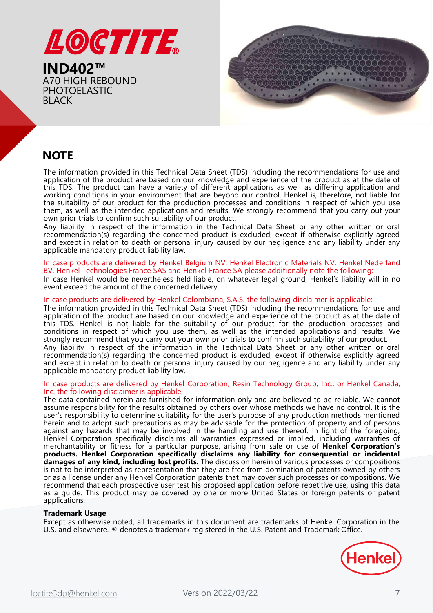



#### **NOTE**

The information provided in this Technical Data Sheet (TDS) including the recommendations for use and application of the product are based on our knowledge and experience of the product as at the date of this TDS. The product can have a variety of different applications as well as differing application and working conditions in your environment that are beyond our control. Henkel is, therefore, not liable for the suitability of our product for the production processes and conditions in respect of which you use them, as well as the intended applications and results. We strongly recommend that you carry out your own prior trials to confirm such suitability of our product.

Any liability in respect of the information in the Technical Data Sheet or any other written or oral recommendation(s) regarding the concerned product is excluded, except if otherwise explicitly agreed and except in relation to death or personal injury caused by our negligence and any liability under any applicable mandatory product liability law.

#### In case products are delivered by Henkel Belgium NV, Henkel Electronic Materials NV, Henkel Nederland BV, Henkel Technologies France SAS and Henkel France SA please additionally note the following:

In case Henkel would be nevertheless held liable, on whatever legal ground, Henkel's liability will in no event exceed the amount of the concerned delivery.

#### In case products are delivered by Henkel Colombiana, S.A.S. the following disclaimer is applicable:

The information provided in this Technical Data Sheet (TDS) including the recommendations for use and application of the product are based on our knowledge and experience of the product as at the date of this TDS. Henkel is not liable for the suitability of our product for the production processes and conditions in respect of which you use them, as well as the intended applications and results. We strongly recommend that you carry out your own prior trials to confirm such suitability of our product.

Any liability in respect of the information in the Technical Data Sheet or any other written or oral recommendation(s) regarding the concerned product is excluded, except if otherwise explicitly agreed and except in relation to death or personal injury caused by our negligence and any liability under any applicable mandatory product liability law.

#### In case products are delivered by Henkel Corporation, Resin Technology Group, Inc., or Henkel Canada, Inc. the following disclaimer is applicable:

The data contained herein are furnished for information only and are believed to be reliable. We cannot assume responsibility for the results obtained by others over whose methods we have no control. It is the user's responsibility to determine suitability for the user's purpose of any production methods mentioned herein and to adopt such precautions as may be advisable for the protection of property and of persons against any hazards that may be involved in the handling and use thereof. In light of the foregoing, Henkel Corporation specifically disclaims all warranties expressed or implied, including warranties of merchantability or fitness for a particular purpose, arising from sale or use of **Henkel Corporation's products. Henkel Corporation specifically disclaims any liability for consequential or incidental damages of any kind, including lost profits.** The discussion herein of various processes or compositions is not to be interpreted as representation that they are free from domination of patents owned by others or as a license under any Henkel Corporation patents that may cover such processes or compositions. We recommend that each prospective user test his proposed application before repetitive use, using this data as a guide. This product may be covered by one or more United States or foreign patents or patent applications.

#### **Trademark Usage**

Except as otherwise noted, all trademarks in this document are trademarks of Henkel Corporation in the U.S. and elsewhere. ® denotes a trademark registered in the U.S. Patent and Trademark Office.